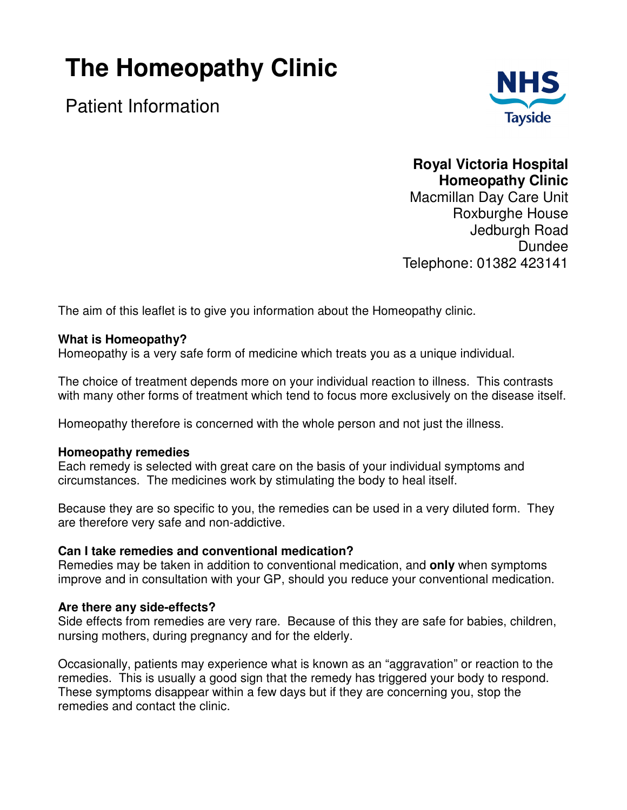# **The Homeopathy Clinic**

Patient Information



## **Royal Victoria Hospital Homeopathy Clinic**

Macmillan Day Care Unit Roxburghe House Jedburgh Road Dundee Telephone: 01382 423141

The aim of this leaflet is to give you information about the Homeopathy clinic.

#### **What is Homeopathy?**

Homeopathy is a very safe form of medicine which treats you as a unique individual.

The choice of treatment depends more on your individual reaction to illness. This contrasts with many other forms of treatment which tend to focus more exclusively on the disease itself.

Homeopathy therefore is concerned with the whole person and not just the illness.

#### **Homeopathy remedies**

Each remedy is selected with great care on the basis of your individual symptoms and circumstances. The medicines work by stimulating the body to heal itself.

Because they are so specific to you, the remedies can be used in a very diluted form. They are therefore very safe and non-addictive.

#### **Can I take remedies and conventional medication?**

Remedies may be taken in addition to conventional medication, and **only** when symptoms improve and in consultation with your GP, should you reduce your conventional medication.

#### **Are there any side-effects?**

Side effects from remedies are very rare. Because of this they are safe for babies, children, nursing mothers, during pregnancy and for the elderly.

Occasionally, patients may experience what is known as an "aggravation" or reaction to the remedies. This is usually a good sign that the remedy has triggered your body to respond. These symptoms disappear within a few days but if they are concerning you, stop the remedies and contact the clinic.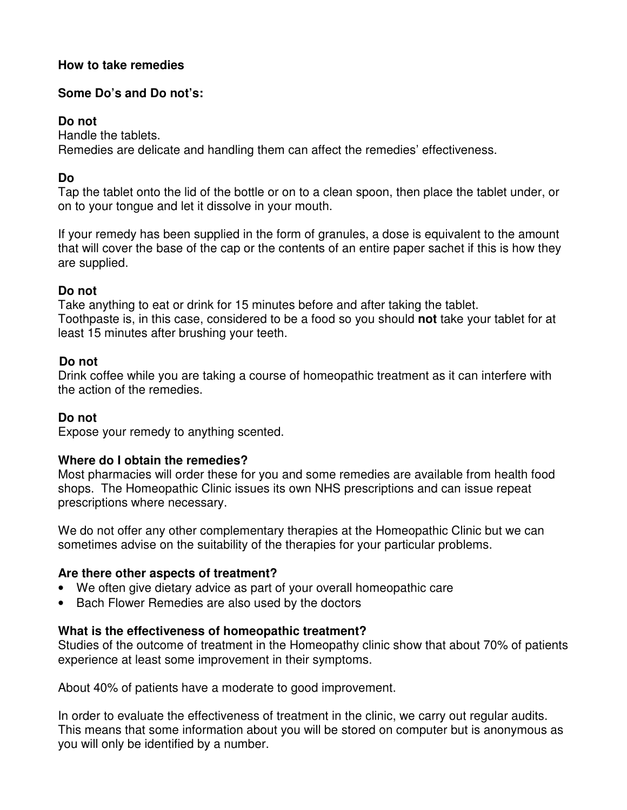#### **How to take remedies**

## **Some Do's and Do not's:**

#### **Do not**

Handle the tablets.

Remedies are delicate and handling them can affect the remedies' effectiveness.

## **Do**

Tap the tablet onto the lid of the bottle or on to a clean spoon, then place the tablet under, or on to your tongue and let it dissolve in your mouth.

If your remedy has been supplied in the form of granules, a dose is equivalent to the amount that will cover the base of the cap or the contents of an entire paper sachet if this is how they are supplied.

## **Do not**

Take anything to eat or drink for 15 minutes before and after taking the tablet. Toothpaste is, in this case, considered to be a food so you should **not** take your tablet for at least 15 minutes after brushing your teeth.

#### **Do not**

Drink coffee while you are taking a course of homeopathic treatment as it can interfere with the action of the remedies.

## **Do not**

Expose your remedy to anything scented.

## **Where do I obtain the remedies?**

Most pharmacies will order these for you and some remedies are available from health food shops. The Homeopathic Clinic issues its own NHS prescriptions and can issue repeat prescriptions where necessary.

We do not offer any other complementary therapies at the Homeopathic Clinic but we can sometimes advise on the suitability of the therapies for your particular problems.

#### **Are there other aspects of treatment?**

- We often give dietary advice as part of your overall homeopathic care
- Bach Flower Remedies are also used by the doctors

## **What is the effectiveness of homeopathic treatment?**

Studies of the outcome of treatment in the Homeopathy clinic show that about 70% of patients experience at least some improvement in their symptoms.

About 40% of patients have a moderate to good improvement.

In order to evaluate the effectiveness of treatment in the clinic, we carry out regular audits. This means that some information about you will be stored on computer but is anonymous as you will only be identified by a number.